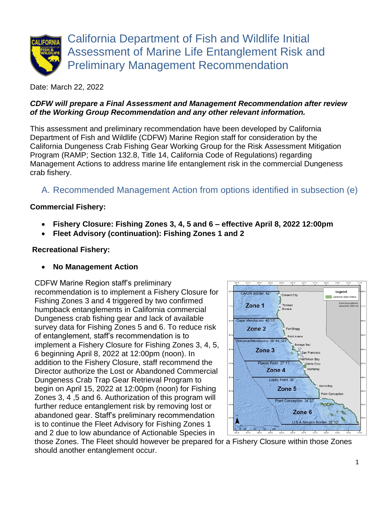

Date: March 22, 2022

#### *CDFW will prepare a Final Assessment and Management Recommendation after review of the Working Group Recommendation and any other relevant information.*

This assessment and preliminary recommendation have been developed by California Department of Fish and Wildlife (CDFW) Marine Region staff for consideration by the California Dungeness Crab Fishing Gear Working Group for the Risk Assessment Mitigation Program (RAMP; Section 132.8, Title 14, California Code of Regulations) regarding Management Actions to address marine life entanglement risk in the commercial Dungeness crab fishery.

# A. Recommended Management Action from options identified in subsection (e)

### **Commercial Fishery:**

- **Fishery Closure: Fishing Zones 3, 4, 5 and 6 – effective April 8, 2022 12:00pm**
- **Fleet Advisory (continuation): Fishing Zones 1 and 2**

#### **Recreational Fishery:**

• **No Management Action**

CDFW Marine Region staff's preliminary recommendation is to implement a Fishery Closure for Fishing Zones 3 and 4 triggered by two confirmed humpback entanglements in California commercial Dungeness crab fishing gear and lack of available survey data for Fishing Zones 5 and 6. To reduce risk of entanglement, staff's recommendation is to implement a Fishery Closure for Fishing Zones 3, 4, 5, 6 beginning April 8, 2022 at 12:00pm (noon). In addition to the Fishery Closure, staff recommend the Director authorize the Lost or Abandoned Commercial Dungeness Crab Trap Gear Retrieval Program to begin on April 15, 2022 at 12:00pm (noon) for Fishing Zones 3, 4 ,5 and 6. Authorization of this program will further reduce entanglement risk by removing lost or abandoned gear. Staff's preliminary recommendation is to continue the Fleet Advisory for Fishing Zones 1 and 2 due to low abundance of Actionable Species in



those Zones. The Fleet should however be prepared for a Fishery Closure within those Zones should another entanglement occur.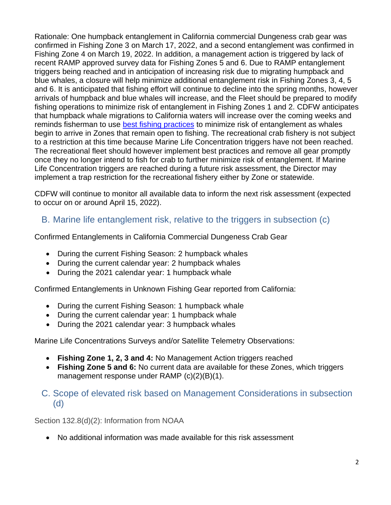Rationale: One humpback entanglement in California commercial Dungeness crab gear was confirmed in Fishing Zone 3 on March 17, 2022, and a second entanglement was confirmed in Fishing Zone 4 on March 19, 2022. In addition, a management action is triggered by lack of recent RAMP approved survey data for Fishing Zones 5 and 6. Due to RAMP entanglement triggers being reached and in anticipation of increasing risk due to migrating humpback and blue whales, a closure will help minimize additional entanglement risk in Fishing Zones 3, 4, 5 and 6. It is anticipated that fishing effort will continue to decline into the spring months, however arrivals of humpback and blue whales will increase, and the Fleet should be prepared to modify fishing operations to minimize risk of entanglement in Fishing Zones 1 and 2. CDFW anticipates that humpback whale migrations to California waters will increase over the coming weeks and reminds fisherman to use [best fishing practices](https://nrm.dfg.ca.gov/FileHandler.ashx?DocumentID=195428&inline) to minimize risk of entanglement as whales begin to arrive in Zones that remain open to fishing. The recreational crab fishery is not subject to a restriction at this time because Marine Life Concentration triggers have not been reached. The recreational fleet should however implement best practices and remove all gear promptly once they no longer intend to fish for crab to further minimize risk of entanglement. If Marine Life Concentration triggers are reached during a future risk assessment, the Director may implement a trap restriction for the recreational fishery either by Zone or statewide.

CDFW will continue to monitor all available data to inform the next risk assessment (expected to occur on or around April 15, 2022).

# B. Marine life entanglement risk, relative to the triggers in subsection (c)

Confirmed Entanglements in California Commercial Dungeness Crab Gear

- During the current Fishing Season: 2 humpback whales
- During the current calendar year: 2 humpback whales
- During the 2021 calendar year: 1 humpback whale

Confirmed Entanglements in Unknown Fishing Gear reported from California:

- During the current Fishing Season: 1 humpback whale
- During the current calendar year: 1 humpback whale
- During the 2021 calendar year: 3 humpback whales

Marine Life Concentrations Surveys and/or Satellite Telemetry Observations:

- **Fishing Zone 1, 2, 3 and 4:** No Management Action triggers reached
- **Fishing Zone 5 and 6:** No current data are available for these Zones, which triggers management response under RAMP (c)(2)(B)(1).

### C. Scope of elevated risk based on Management Considerations in subsection (d)

Section 132.8(d)(2): Information from NOAA

• No additional information was made available for this risk assessment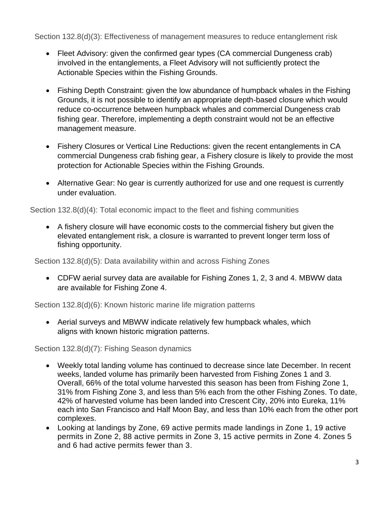Section 132.8(d)(3): Effectiveness of management measures to reduce entanglement risk

- Fleet Advisory: given the confirmed gear types (CA commercial Dungeness crab) involved in the entanglements, a Fleet Advisory will not sufficiently protect the Actionable Species within the Fishing Grounds.
- Fishing Depth Constraint: given the low abundance of humpback whales in the Fishing Grounds, it is not possible to identify an appropriate depth-based closure which would reduce co-occurrence between humpback whales and commercial Dungeness crab fishing gear. Therefore, implementing a depth constraint would not be an effective management measure.
- Fishery Closures or Vertical Line Reductions: given the recent entanglements in CA commercial Dungeness crab fishing gear, a Fishery closure is likely to provide the most protection for Actionable Species within the Fishing Grounds.
- Alternative Gear: No gear is currently authorized for use and one request is currently under evaluation.

Section 132.8(d)(4): Total economic impact to the fleet and fishing communities

• A fishery closure will have economic costs to the commercial fishery but given the elevated entanglement risk, a closure is warranted to prevent longer term loss of fishing opportunity.

Section 132.8(d)(5): Data availability within and across Fishing Zones

• CDFW aerial survey data are available for Fishing Zones 1, 2, 3 and 4. MBWW data are available for Fishing Zone 4.

Section 132.8(d)(6): Known historic marine life migration patterns

• Aerial surveys and MBWW indicate relatively few humpback whales, which aligns with known historic migration patterns.

Section 132.8(d)(7): Fishing Season dynamics

- Weekly total landing volume has continued to decrease since late December. In recent weeks, landed volume has primarily been harvested from Fishing Zones 1 and 3. Overall, 66% of the total volume harvested this season has been from Fishing Zone 1, 31% from Fishing Zone 3, and less than 5% each from the other Fishing Zones. To date, 42% of harvested volume has been landed into Crescent City, 20% into Eureka, 11% each into San Francisco and Half Moon Bay, and less than 10% each from the other port complexes.
- Looking at landings by Zone, 69 active permits made landings in Zone 1, 19 active permits in Zone 2, 88 active permits in Zone 3, 15 active permits in Zone 4. Zones 5 and 6 had active permits fewer than 3.